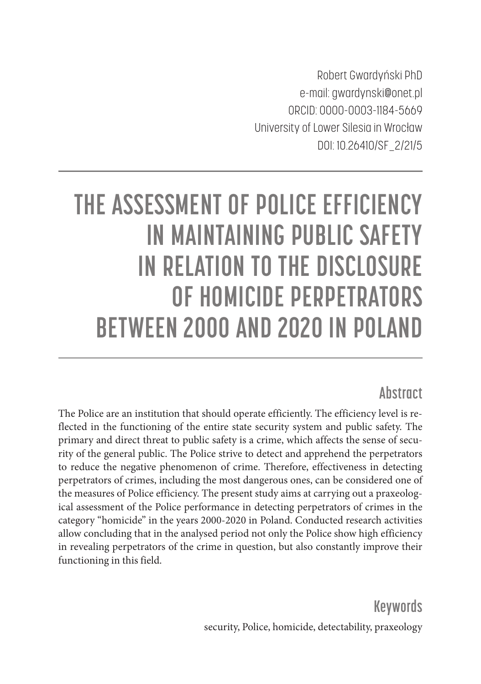Robert Gwardyński PhD e-mail: gwardynski@onet.pl ORCID: 0000-0003-1184-5669 University of Lower Silesia in Wrocław DOI: 10.26410/SF\_2/21/5

# **THE ASSESSMENT OF POLICE EFFICIENCY IN MAINTAINING PUBLIC SAFETY IN RELATION TO THE DISCLOSURE OF HOMICIDE PERPETRATORS BETWEEN 2000 AND 2020 IN POLAND**

#### **Abstract**

The Police are an institution that should operate efficiently. The efficiency level is reflected in the functioning of the entire state security system and public safety. The primary and direct threat to public safety is a crime, which affects the sense of security of the general public. The Police strive to detect and apprehend the perpetrators to reduce the negative phenomenon of crime. Therefore, effectiveness in detecting perpetrators of crimes, including the most dangerous ones, can be considered one of the measures of Police efficiency. The present study aims at carrying out a praxeological assessment of the Police performance in detecting perpetrators of crimes in the category "homicide" in the years 2000-2020 in Poland. Conducted research activities allow concluding that in the analysed period not only the Police show high efficiency in revealing perpetrators of the crime in question, but also constantly improve their functioning in this field.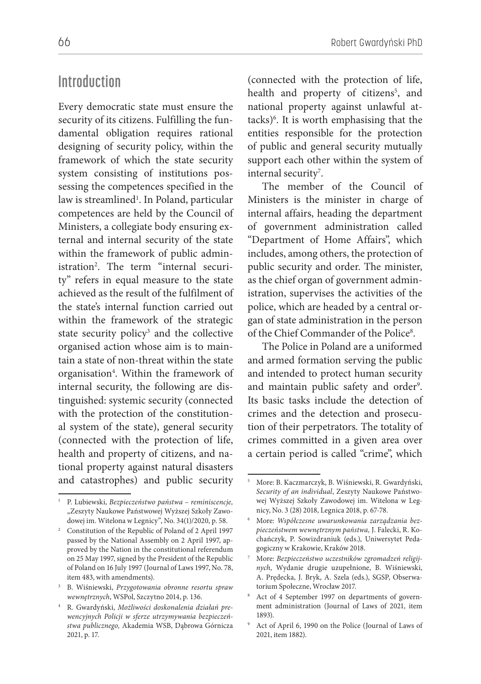#### **Introduction**

Every democratic state must ensure the security of its citizens. Fulfilling the fundamental obligation requires rational designing of security policy, within the framework of which the state security system consisting of institutions possessing the competences specified in the law is streamlined<sup>1</sup>. In Poland, particular competences are held by the Council of Ministers, a collegiate body ensuring external and internal security of the state within the framework of public administration2 . The term "internal security" refers in equal measure to the state achieved as the result of the fulfilment of the state's internal function carried out within the framework of the strategic state security policy<sup>3</sup> and the collective organised action whose aim is to maintain a state of non-threat within the state organisation<sup>4</sup>. Within the framework of internal security, the following are distinguished: systemic security (connected with the protection of the constitutional system of the state), general security (connected with the protection of life, health and property of citizens, and national property against natural disasters and catastrophes) and public security

(connected with the protection of life, health and property of citizens<sup>5</sup>, and national property against unlawful attacks)6 . It is worth emphasising that the entities responsible for the protection of public and general security mutually support each other within the system of internal security<sup>7</sup>.

The member of the Council of Ministers is the minister in charge of internal affairs, heading the department of government administration called "Department of Home Affairs", which includes, among others, the protection of public security and order. The minister, as the chief organ of government administration, supervises the activities of the police, which are headed by a central organ of state administration in the person of the Chief Commander of the Police<sup>8</sup>.

The Police in Poland are a uniformed and armed formation serving the public and intended to protect human security and maintain public safety and order<sup>9</sup>. Its basic tasks include the detection of crimes and the detection and prosecution of their perpetrators. The totality of crimes committed in a given area over a certain period is called "crime", which

<sup>1</sup> P. Lubiewski, *Bezpieczeństwo państwa – reminiscencje,*  "Zeszyty Naukowe Państwowej Wyższej Szkoły Zawodowej im. Witelona w Legnicy", No. 34(1)/2020, p. 58.

<sup>&</sup>lt;sup>2</sup> Constitution of the Republic of Poland of 2 April 1997 passed by the National Assembly on 2 April 1997, approved by the Nation in the constitutional referendum on 25 May 1997, signed by the President of the Republic of Poland on 16 July 1997 (Journal of Laws 1997, No. 78, item 483, with amendments).

<sup>3</sup> B. Wiśniewski, *Przygotowania obronne resortu spraw wewnętrznych*, WSPol, Szczytno 2014, p. 136.

<sup>4</sup> R. Gwardyński, *Możliwości doskonalenia działań prewencyjnych Policji w sferze utrzymywania bezpieczeństwa publicznego,* Akademia WSB, Dąbrowa Górnicza 2021, p. 17.

<sup>5</sup> More: B. Kaczmarczyk, B. Wiśniewski, R. Gwardyński, *Security of an individual*, Zeszyty Naukowe Państwowej Wyższej Szkoły Zawodowej im. Witelona w Legnicy, No. 3 (28) 2018, Legnica 2018, p. 67-78.

<sup>6</sup> More: *Współczesne uwarunkowania zarządzania bezpieczeństwem wewnętrznym państwa,* J. Falecki, R. Kochańczyk, P. Sowizdraniuk (eds.), Uniwersytet Pedagogiczny w Krakowie, Kraków 2018.

<sup>7</sup> More: *Bezpieczeństwo uczestników zgromadzeń religijnych*, Wydanie drugie uzupełnione, B. Wiśniewski, A. Prędecka, J. Bryk, A. Szela (eds.), SGSP, Obserwatorium Społeczne, Wrocław 2017.

<sup>8</sup> Act of 4 September 1997 on departments of government administration (Journal of Laws of 2021, item 1893).

<sup>9</sup> Act of April 6, 1990 on the Police (Journal of Laws of 2021, item 1882).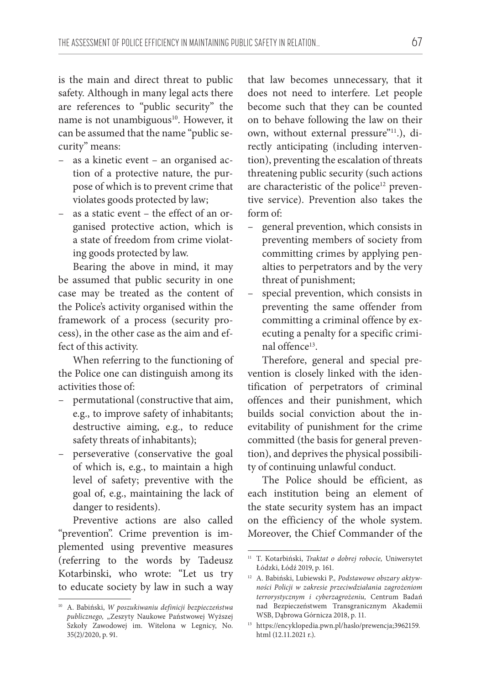is the main and direct threat to public safety. Although in many legal acts there are references to "public security" the name is not unambiguous<sup>10</sup>. However, it can be assumed that the name "public security" means:

- as a kinetic event an organised action of a protective nature, the purpose of which is to prevent crime that violates goods protected by law;
- as a static event the effect of an organised protective action, which is a state of freedom from crime violating goods protected by law.

Bearing the above in mind, it may be assumed that public security in one case may be treated as the content of the Police's activity organised within the framework of a process (security process), in the other case as the aim and effect of this activity.

When referring to the functioning of the Police one can distinguish among its activities those of:

- permutational (constructive that aim, e.g., to improve safety of inhabitants; destructive aiming, e.g., to reduce safety threats of inhabitants);
- perseverative (conservative the goal of which is, e.g., to maintain a high level of safety; preventive with the goal of, e.g., maintaining the lack of danger to residents).

Preventive actions are also called "prevention". Crime prevention is implemented using preventive measures (referring to the words by Tadeusz Kotarbinski, who wrote: "Let us try to educate society by law in such a way that law becomes unnecessary, that it does not need to interfere. Let people become such that they can be counted on to behave following the law on their own, without external pressure"<sup>11</sup>.), directly anticipating (including intervention), preventing the escalation of threats threatening public security (such actions are characteristic of the police<sup>12</sup> preventive service). Prevention also takes the form of:

- general prevention, which consists in preventing members of society from committing crimes by applying penalties to perpetrators and by the very threat of punishment;
- special prevention, which consists in preventing the same offender from committing a criminal offence by executing a penalty for a specific criminal offence<sup>13</sup>

Therefore, general and special prevention is closely linked with the identification of perpetrators of criminal offences and their punishment, which builds social conviction about the inevitability of punishment for the crime committed (the basis for general prevention), and deprives the physical possibility of continuing unlawful conduct.

The Police should be efficient, as each institution being an element of the state security system has an impact on the efficiency of the whole system. Moreover, the Chief Commander of the

<sup>10</sup> A. Babiński, *W poszukiwaniu definicji bezpieczeństwa publicznego,* "Zeszyty Naukowe Państwowej Wyższej Szkoły Zawodowej im. Witelona w Legnicy, No. 35(2)/2020, p. 91.

<sup>11</sup> T. Kotarbiński, *Traktat o dobrej robocie,* Uniwersytet Łódzki, Łódź 2019, p. 161.

<sup>12</sup> A. Babiński, Lubiewski P.*, Podstawowe obszary aktywności Policji w zakresie przeciwdziałania zagrożeniom terrorystycznym i cyberzagrożeniu,* Centrum Badań nad Bezpieczeństwem Transgranicznym Akademii WSB, Dąbrowa Górnicza 2018, p. 11.

<sup>13</sup> https://encyklopedia.pwn.pl/haslo/prewencja;3962159. html (12.11.2021 r.).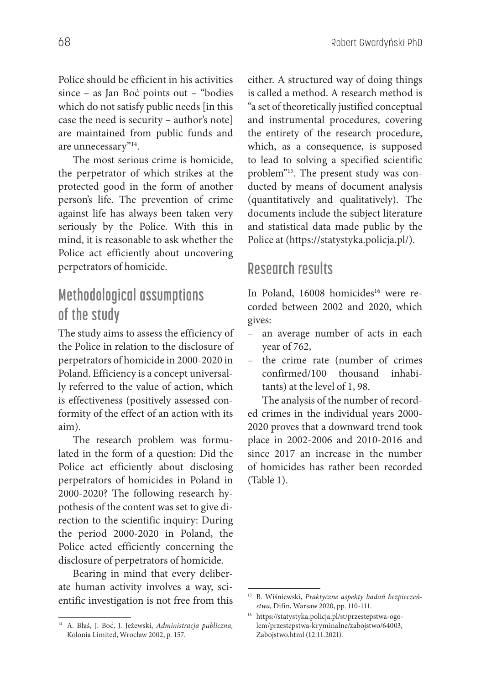Police should be efficient in his activities since – as Jan Boć points out – "bodies which do not satisfy public needs [in this case the need is security – author's note] are maintained from public funds and are unnecessary"14.

The most serious crime is homicide, the perpetrator of which strikes at the protected good in the form of another person's life. The prevention of crime against life has always been taken very seriously by the Police. With this in mind, it is reasonable to ask whether the Police act efficiently about uncovering perpetrators of homicide.

# **Methodological assumptions of the study**

The study aims to assess the efficiency of the Police in relation to the disclosure of perpetrators of homicide in 2000-2020 in Poland. Efficiency is a concept universally referred to the value of action, which is effectiveness (positively assessed conformity of the effect of an action with its aim).

The research problem was formulated in the form of a question: Did the Police act efficiently about disclosing perpetrators of homicides in Poland in 2000-2020? The following research hypothesis of the content was set to give direction to the scientific inquiry: During the period 2000-2020 in Poland, the Police acted efficiently concerning the disclosure of perpetrators of homicide.

Bearing in mind that every deliberate human activity involves a way, scientific investigation is not free from this

either. A structured way of doing things is called a method. A research method is "a set of theoretically justified conceptual and instrumental procedures, covering the entirety of the research procedure, which, as a consequence, is supposed to lead to solving a specified scientific problem"15. The present study was conducted by means of document analysis (quantitatively and qualitatively). The documents include the subject literature and statistical data made public by the Police at (https://statystyka.policja.pl/).

## **Research results**

In Poland, 16008 homicides<sup>16</sup> were recorded between 2002 and 2020, which gives:

- an average number of acts in each year of 762,
- the crime rate (number of crimes confirmed/100 thousand inhabitants) at the level of 1, 98.

The analysis of the number of recorded crimes in the individual years 2000- 2020 proves that a downward trend took place in 2002-2006 and 2010-2016 and since 2017 an increase in the number of homicides has rather been recorded (Table 1).

<sup>14</sup> A. Błaś, J. Boć, J. Jeżewski, *Administracja publiczna,*  Kolonia Limited, Wrocław 2002, p. 157.

<sup>15</sup> B. Wiśniewski, *Praktyczne aspekty badań bezpieczeństwa,* Difin, Warsaw 2020, pp. 110-111.

<sup>16</sup> https://statystyka.policja.pl/st/przestepstwa-ogolem/przestepstwa-kryminalne/zabojstwo/64003, Zabojstwo.html (12.11.2021).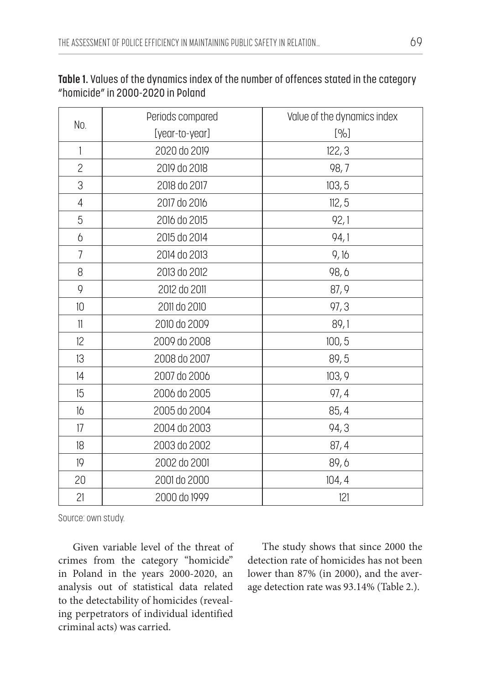| No.            | Periods compared | Value of the dynamics index |
|----------------|------------------|-----------------------------|
|                | [year-to-year]   | [%]                         |
| $\mathbf{1}$   | 2020 do 2019     | 122, 3                      |
| $\overline{c}$ | 2019 do 2018     | 98,7                        |
| 3              | 2018 do 2017     | 103, 5                      |
| $\overline{4}$ | 2017 do 2016     | 112, 5                      |
| 5              | 2016 do 2015     | 92,1                        |
| 6              | 2015 do 2014     | 94,1                        |
| $\overline{7}$ | 2014 do 2013     | 9,16                        |
| 8              | 2013 do 2012     | 98,6                        |
| 9              | 2012 do 2011     | 87, 9                       |
| 10             | 2011 do 2010     | 97, 3                       |
| 11             | 2010 do 2009     | 89,1                        |
| 12             | 2009 do 2008     | 100, 5                      |
| 13             | 2008 do 2007     | 89,5                        |
| 14             | 2007 do 2006     | 103, 9                      |
| 15             | 2006 do 2005     | 97, 4                       |
| 16             | 2005 do 2004     | 85, 4                       |
| 17             | 2004 do 2003     | 94,3                        |
| 18             | 2003 do 2002     | 87, 4                       |
| 19             | 2002 do 2001     | 89,6                        |
| 20             | 2001 do 2000     | 104, 4                      |
| 21             | 2000 do 1999     | 121                         |

**Table 1.** Values of the dynamics index of the number of offences stated in the category "homicide" in 2000-2020 in Poland

Source: own study.

Given variable level of the threat of crimes from the category "homicide" in Poland in the years 2000-2020, an analysis out of statistical data related to the detectability of homicides (revealing perpetrators of individual identified criminal acts) was carried.

The study shows that since 2000 the detection rate of homicides has not been lower than 87% (in 2000), and the average detection rate was 93.14% (Table 2.).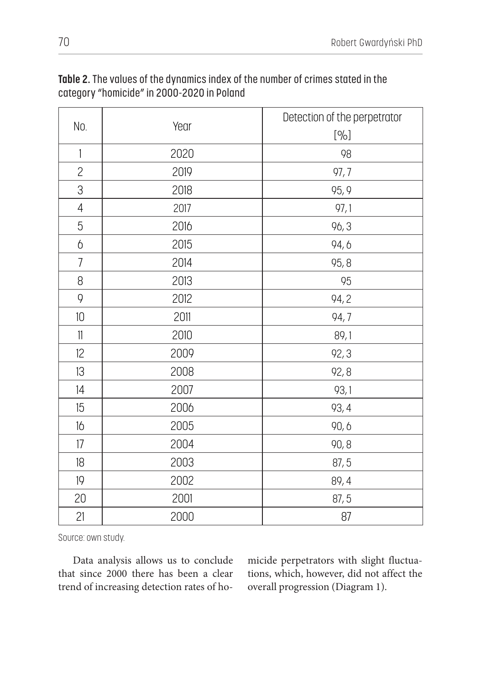| No.                       | Year | Detection of the perpetrator |
|---------------------------|------|------------------------------|
|                           |      | [%]                          |
| $\mathbf{1}$              | 2020 | 98                           |
| $\overline{c}$            | 2019 | 97,7                         |
| 3                         | 2018 | 95, 9                        |
| $\overline{4}$            | 2017 | 97,1                         |
| 5                         | 2016 | 96,3                         |
| $\boldsymbol{\mathsf{b}}$ | 2015 | 94,6                         |
| $\overline{7}$            | 2014 | 95, 8                        |
| 8                         | 2013 | 95                           |
| 9                         | 2012 | 94, 2                        |
| $10\,$                    | 2011 | 94,7                         |
| 11                        | 2010 | 89,1                         |
| 12                        | 2009 | 92, 3                        |
| 13                        | 2008 | 92, 8                        |
| 4                         | 2007 | 93,1                         |
| 15                        | 2006 | 93, 4                        |
| 16                        | 2005 | 90,6                         |
| 17                        | 2004 | 90,8                         |
| 18                        | 2003 | 87, 5                        |
| 19                        | 2002 | 89, 4                        |
| 20                        | 2001 | 87, 5                        |
| 21                        | 2000 | 87                           |

**Table 2.** The values of the dynamics index of the number of crimes stated in the category "homicide" in 2000-2020 in Poland

Source: own study.

Data analysis allows us to conclude that since 2000 there has been a clear trend of increasing detection rates of homicide perpetrators with slight fluctuations, which, however, did not affect the overall progression (Diagram 1).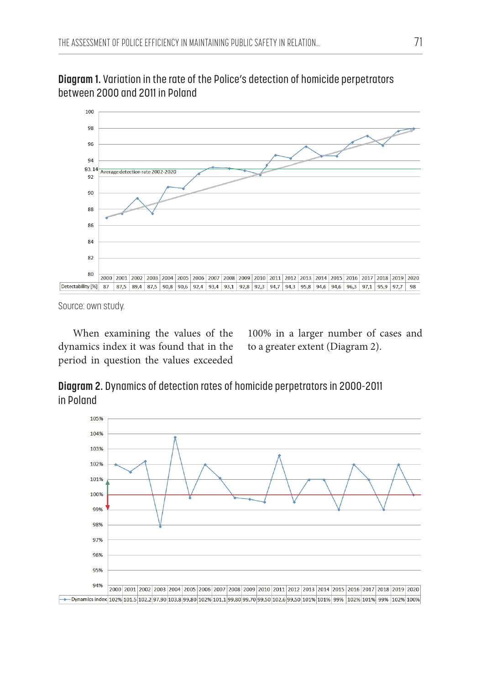

**Diagram 1.** Variation in the rate of the Police's detection of homicide perpetrators between 2000 and 2011 in Poland

Source: own study.

When examining the values of the dynamics index it was found that in the period in question the values exceeded

100% in a larger number of cases and to a greater extent (Diagram 2).

**Diagram 2.** Dynamics of detection rates of homicide perpetrators in 2000-2011 in Poland

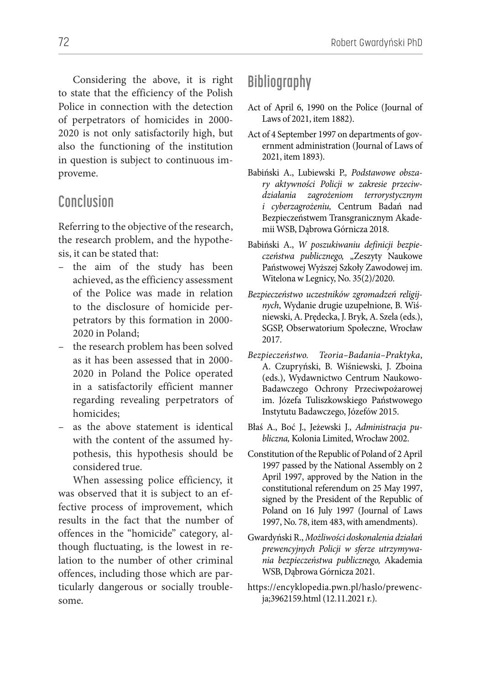Considering the above, it is right to state that the efficiency of the Polish Police in connection with the detection of perpetrators of homicides in 2000- 2020 is not only satisfactorily high, but also the functioning of the institution in question is subject to continuous improveme.

### **Conclusion**

Referring to the objective of the research, the research problem, and the hypothesis, it can be stated that:

- the aim of the study has been achieved, as the efficiency assessment of the Police was made in relation to the disclosure of homicide perpetrators by this formation in 2000- 2020 in Poland;
- the research problem has been solved as it has been assessed that in 2000- 2020 in Poland the Police operated in a satisfactorily efficient manner regarding revealing perpetrators of homicides;
- as the above statement is identical with the content of the assumed hypothesis, this hypothesis should be considered true.

When assessing police efficiency, it was observed that it is subject to an effective process of improvement, which results in the fact that the number of offences in the "homicide" category, although fluctuating, is the lowest in relation to the number of other criminal offences, including those which are particularly dangerous or socially troublesome.

# **Bibliography**

- Act of April 6, 1990 on the Police (Journal of Laws of 2021, item 1882).
- Act of 4 September 1997 on departments of government administration (Journal of Laws of 2021, item 1893).
- Babiński A., Lubiewski P.*, Podstawowe obszary aktywności Policji w zakresie przeciwdziałania zagrożeniom terrorystycznym i cyberzagrożeniu,* Centrum Badań nad Bezpieczeństwem Transgranicznym Akademii WSB, Dąbrowa Górnicza 2018.
- Babiński A., *W poszukiwaniu definicji bezpieczeństwa publicznego,* "Zeszyty Naukowe Państwowej Wyższej Szkoły Zawodowej im. Witelona w Legnicy, No. 35(2)/2020.
- *Bezpieczeństwo uczestników zgromadzeń religijnych*, Wydanie drugie uzupełnione, B. Wiśniewski, A. Prędecka, J. Bryk, A. Szela (eds.), SGSP, Obserwatorium Społeczne, Wrocław 2017.
- *Bezpieczeństwo. Teoria–Badania–Praktyka*, A. Czupryński, B. Wiśniewski, J. Zboina (eds.), Wydawnictwo Centrum Naukowo-Badawczego Ochrony Przeciwpożarowej im. Józefa Tuliszkowskiego Państwowego Instytutu Badawczego, Józefów 2015.
- Błaś A., Boć J., Jeżewski J., *Administracja publiczna,* Kolonia Limited, Wrocław 2002.
- Constitution of the Republic of Poland of 2 April 1997 passed by the National Assembly on 2 April 1997, approved by the Nation in the constitutional referendum on 25 May 1997, signed by the President of the Republic of Poland on 16 July 1997 (Journal of Laws 1997, No. 78, item 483, with amendments).
- Gwardyński R., *Możliwości doskonalenia działań prewencyjnych Policji w sferze utrzymywania bezpieczeństwa publicznego,* Akademia WSB, Dąbrowa Górnicza 2021.
- https://encyklopedia.pwn.pl/haslo/prewencja;3962159.html (12.11.2021 r.).